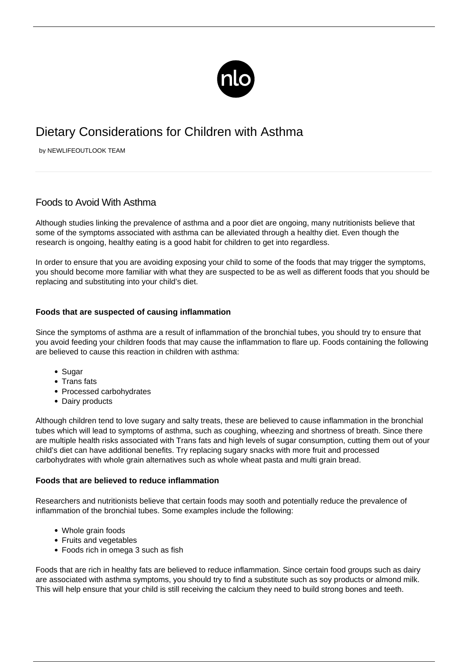

## Dietary Considerations for Children with Asthma

by NEWLIFEOUTLOOK TEAM

## Foods to Avoid With Asthma

Although studies linking the prevalence of asthma and a poor diet are ongoing, many nutritionists believe that some of the symptoms associated with asthma can be alleviated through a healthy diet. Even though the research is ongoing, healthy eating is a good habit for children to get into regardless.

In order to ensure that you are avoiding exposing your child to some of the foods that may trigger the symptoms, you should become more familiar with what they are suspected to be as well as different foods that you should be replacing and substituting into your child's diet.

## **Foods that are suspected of causing inflammation**

Since the symptoms of asthma are a result of inflammation of the bronchial tubes, you should try to ensure that you avoid feeding your children foods that may cause the inflammation to flare up. Foods containing the following are believed to cause this reaction in children with asthma:

- Sugar
- Trans fats
- Processed carbohydrates
- Dairy products

Although children tend to love sugary and salty treats, these are believed to cause inflammation in the bronchial tubes which will lead to symptoms of asthma, such as coughing, wheezing and shortness of breath. Since there are multiple health risks associated with Trans fats and high levels of sugar consumption, cutting them out of your child's diet can have additional benefits. Try replacing sugary snacks with more fruit and processed carbohydrates with whole grain alternatives such as whole wheat pasta and multi grain bread.

## **Foods that are believed to reduce inflammation**

Researchers and nutritionists believe that certain foods may sooth and potentially reduce the prevalence of inflammation of the bronchial tubes. Some examples include the following:

- Whole grain foods
- Fruits and vegetables
- Foods rich in omega 3 such as fish

Foods that are rich in healthy fats are believed to reduce inflammation. Since certain food groups such as dairy are associated with asthma symptoms, you should try to find a substitute such as soy products or almond milk. This will help ensure that your child is still receiving the calcium they need to build strong bones and teeth.